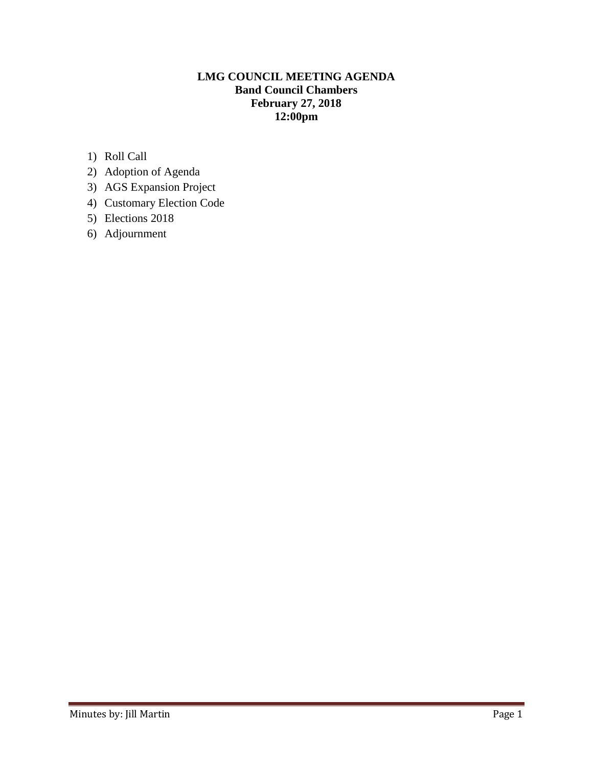# **LMG COUNCIL MEETING AGENDA Band Council Chambers February 27, 2018 12:00pm**

- 1) Roll Call
- 2) Adoption of Agenda
- 3) AGS Expansion Project
- 4) Customary Election Code
- 5) Elections 2018
- 6) Adjournment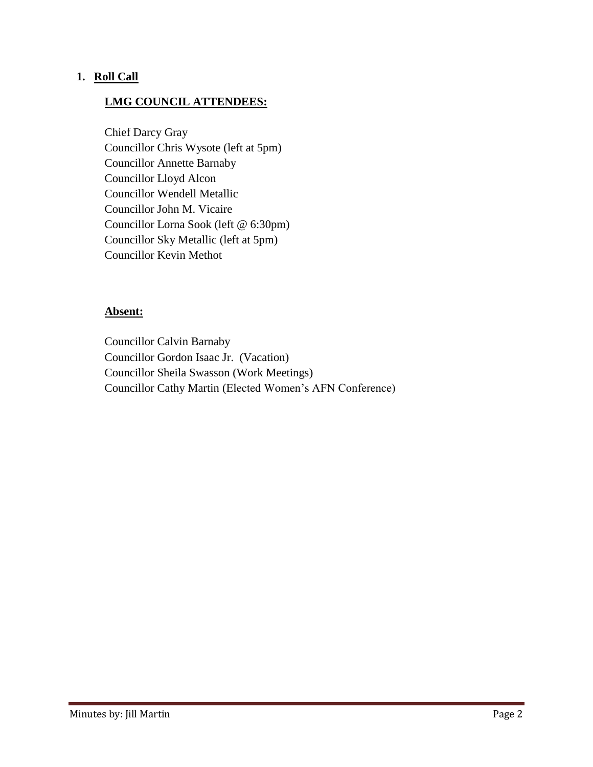#### **1. Roll Call**

### **LMG COUNCIL ATTENDEES:**

Chief Darcy Gray Councillor Chris Wysote (left at 5pm) Councillor Annette Barnaby Councillor Lloyd Alcon Councillor Wendell Metallic Councillor John M. Vicaire Councillor Lorna Sook (left @ 6:30pm) Councillor Sky Metallic (left at 5pm) Councillor Kevin Methot

#### **Absent:**

Councillor Calvin Barnaby Councillor Gordon Isaac Jr. (Vacation) Councillor Sheila Swasson (Work Meetings) Councillor Cathy Martin (Elected Women's AFN Conference)